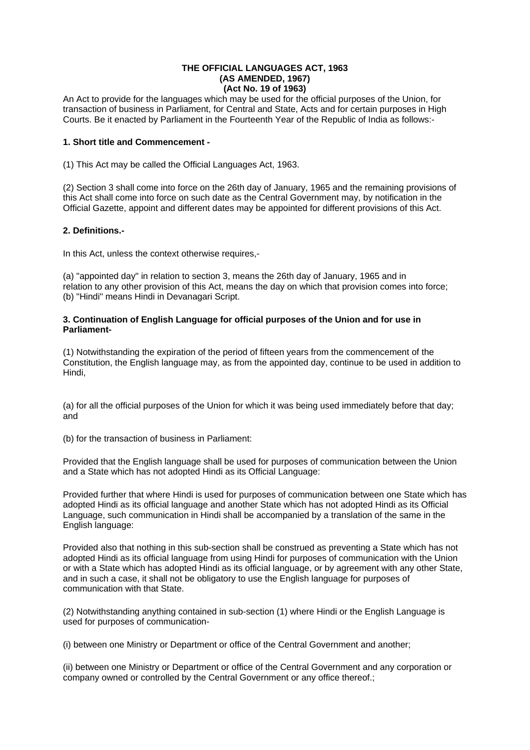#### **THE OFFICIAL LANGUAGES ACT, 1963 (AS AMENDED, 1967) (Act No. 19 of 1963)**

An Act to provide for the languages which may be used for the official purposes of the Union, for transaction of business in Parliament, for Central and State, Acts and for certain purposes in High Courts. Be it enacted by Parliament in the Fourteenth Year of the Republic of India as follows:-

# **1. Short title and Commencement -**

(1) This Act may be called the Official Languages Act, 1963.

(2) Section 3 shall come into force on the 26th day of January, 1965 and the remaining provisions of this Act shall come into force on such date as the Central Government may, by notification in the Official Gazette, appoint and different dates may be appointed for different provisions of this Act.

# **2. Definitions.-**

In this Act, unless the context otherwise requires,-

(a) "appointed day" in relation to section 3, means the 26th day of January, 1965 and in relation to any other provision of this Act, means the day on which that provision comes into force; (b) "Hindi" means Hindi in Devanagari Script.

# **3. Continuation of English Language for official purposes of the Union and for use in Parliament-**

(1) Notwithstanding the expiration of the period of fifteen years from the commencement of the Constitution, the English language may, as from the appointed day, continue to be used in addition to Hindi,

(a) for all the official purposes of the Union for which it was being used immediately before that day; and

(b) for the transaction of business in Parliament:

Provided that the English language shall be used for purposes of communication between the Union and a State which has not adopted Hindi as its Official Language:

Provided further that where Hindi is used for purposes of communication between one State which has adopted Hindi as its official language and another State which has not adopted Hindi as its Official Language, such communication in Hindi shall be accompanied by a translation of the same in the English language:

Provided also that nothing in this sub-section shall be construed as preventing a State which has not adopted Hindi as its official language from using Hindi for purposes of communication with the Union or with a State which has adopted Hindi as its official language, or by agreement with any other State, and in such a case, it shall not be obligatory to use the English language for purposes of communication with that State.

(2) Notwithstanding anything contained in sub-section (1) where Hindi or the English Language is used for purposes of communication-

(i) between one Ministry or Department or office of the Central Government and another;

(ii) between one Ministry or Department or office of the Central Government and any corporation or company owned or controlled by the Central Government or any office thereof.;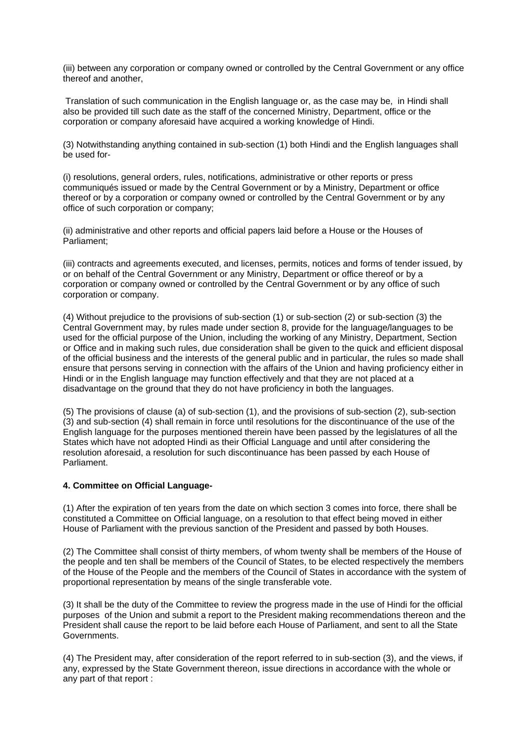(iii) between any corporation or company owned or controlled by the Central Government or any office thereof and another,

 Translation of such communication in the English language or, as the case may be, in Hindi shall also be provided till such date as the staff of the concerned Ministry, Department, office or the corporation or company aforesaid have acquired a working knowledge of Hindi.

(3) Notwithstanding anything contained in sub-section (1) both Hindi and the English languages shall be used for-

(i) resolutions, general orders, rules, notifications, administrative or other reports or press communiqués issued or made by the Central Government or by a Ministry, Department or office thereof or by a corporation or company owned or controlled by the Central Government or by any office of such corporation or company;

(ii) administrative and other reports and official papers laid before a House or the Houses of Parliament;

(iii) contracts and agreements executed, and licenses, permits, notices and forms of tender issued, by or on behalf of the Central Government or any Ministry, Department or office thereof or by a corporation or company owned or controlled by the Central Government or by any office of such corporation or company.

(4) Without prejudice to the provisions of sub-section (1) or sub-section (2) or sub-section (3) the Central Government may, by rules made under section 8, provide for the language/languages to be used for the official purpose of the Union, including the working of any Ministry, Department, Section or Office and in making such rules, due consideration shall be given to the quick and efficient disposal of the official business and the interests of the general public and in particular, the rules so made shall ensure that persons serving in connection with the affairs of the Union and having proficiency either in Hindi or in the English language may function effectively and that they are not placed at a disadvantage on the ground that they do not have proficiency in both the languages.

(5) The provisions of clause (a) of sub-section (1), and the provisions of sub-section (2), sub-section (3) and sub-section (4) shall remain in force until resolutions for the discontinuance of the use of the English language for the purposes mentioned therein have been passed by the legislatures of all the States which have not adopted Hindi as their Official Language and until after considering the resolution aforesaid, a resolution for such discontinuance has been passed by each House of Parliament.

### **4. Committee on Official Language-**

(1) After the expiration of ten years from the date on which section 3 comes into force, there shall be constituted a Committee on Official language, on a resolution to that effect being moved in either House of Parliament with the previous sanction of the President and passed by both Houses.

(2) The Committee shall consist of thirty members, of whom twenty shall be members of the House of the people and ten shall be members of the Council of States, to be elected respectively the members of the House of the People and the members of the Council of States in accordance with the system of proportional representation by means of the single transferable vote.

(3) It shall be the duty of the Committee to review the progress made in the use of Hindi for the official purposes of the Union and submit a report to the President making recommendations thereon and the President shall cause the report to be laid before each House of Parliament, and sent to all the State Governments.

(4) The President may, after consideration of the report referred to in sub-section (3), and the views, if any, expressed by the State Government thereon, issue directions in accordance with the whole or any part of that report :